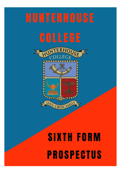# **HUNTERHOUSE**

## **COLLEGE**





## **SIXTH FORM PROSPECTUS**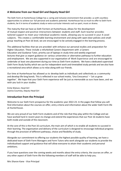#### **A Welcome from our Head Girl and Deputy Head Girl**

The Sixth Form at Hunterhouse College has a caring and inclusive environment that provides us with countless opportunities to achieve our full personal and academic potential. Hunterhouse has so much to offer to Sixth Form students, be it in terms of academic study or extra-curricular interests such as sport, music or drama.

The maturity that we have as Sixth Formers at Hunterhouse, allows for the development of mutual respect and positive interactions between students and staff. Each teacher provides tailored support to meet your individual academic needs, allowing you to succeed in your A Level subjects. This creates a comfortable learning environment and along with open-door policies and smallgroup teaching at Post-16 level, we are encouraged to be actively engaged in the learning process.

The additional facilities that we are provided with enhance our personal studies and preparation for Higher Education. These include a refurbished Careers Department with a Careers Education and Guidance Tutor, priority use of laptops in study time and weekly organised lectures that give us expert guidance on various universities or alternative pathways to further education and employment. We are also supported in our organisation of Work Experience and are encouraged to undertake at least one placement during our time as Sixth Form students. We have a dedicated supervised Sixth Form Study facility which we use for independent work and timetabled study periods and we also have a recreational area which allows us to relax along with our friends.

Our time at Hunterhouse has allowed us to develop both as individuals and collectively as a community and develop life-long bonds. This is reflected in our school motto, 'Una Crescamus' – 'Let us grow together'. We hope that your Sixth Form experience will be just as memorable as ours have been, and we wish you luck in your studies.

Emily Watson, Head Girl Joanna Courtney, Deputy Head Girl

#### **Introduction from the Principal**

Welcome to our Sixth Form prospectus for the academic year 2022-23. In the pages that follow you will find information about the courses on offer, entry criteria and information about the wider Sixth Form life at Hunterhouse.

We are very proud of our Sixth Form students and of the role that they play within the College and we have worked hard in recent years to change and extend the experiences that our Post 16 students have both inside and outside of the classroom.

At the core of this is the Post 16 curriculum, the main aim of which is to enable all students to succeed in their learning. The organisation and delivery of the curriculum is designed to encourage individual progress through the provision of different pathways, choice and flexibility of study.

Alongside our commitment to offering our students the highest possible quality of learning, we have a dedicated team of Sixth Form Managers and Form Tutors who work alongside our students to provide the individualised support and guidance that will allow everyone to attain their academic and personal ambitions.

If you have questions over the coming weeks and months about the entry criteria, the courses on offer, or any other aspect of Sixth Form life the following members of staff will be able to help you.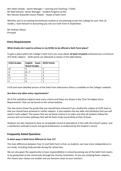Mrs Helen Dowds - Senior Manager – Learning and Teaching + CEIAG Mr Niall Gilmore- Senior Manager - Student Progress at KS5 Mrs Noreen Shaw/Mrs Karen Playfair - Heads of Sixth Form

Whether you're an existing Hunterhouse student or are planning to join the College for your Post 16 studies, I look forward to welcoming you into our Sixth Form in September.

Mr Andrew Gibson Principal

#### **Entry Requirements**

#### **What Grades do I need to achieve in my GCSEs to be offered a Sixth Form place?**

To gain a place within the College's Sixth Form you must obtain **at least 13 points** achieved over a minimum of 6 GCSE subjects. GCSE points are allocated as shown in the table below.

| <b>CCEA Grades</b> | English Exam   GCSE Points<br><b>Board Grades</b> |  |
|--------------------|---------------------------------------------------|--|
| ≯∖                 |                                                   |  |
|                    | $8 + 7$                                           |  |
| R                  | 6                                                 |  |
|                    |                                                   |  |
|                    |                                                   |  |

A full and more detailed version of the Sixth Form Admissions Policy is available on the College's website.

#### **Are there any other entry requirements?**

All of the individual subjects have entry criteria and these are shown in the 'Post 16 Subject Entry Requirements' that can be found on the school website.

This document shows the grade that you should have achieved if you studied the subject at GCSE level or that you should have achieved in similar subjects. It also explains the key skills and attributes that you will need in each subject. The reason that we set these criteria is to make sure that all students follow the courses and curriculum pathway that will let them study successfully at Post 16 level.

Students are also required to have an acceptable record of attendance in line with the school's policy, and a satisfactory attitude to work and general behaviour as evidenced by the student's record.

#### **Frequently Asked Questions**

#### **In what ways is Sixth Form different to Year 12?**

The main difference between Year 12 and Sixth Form is that, as students, we have more independence in our study, including study periods during the school day.

We are also given the opportunity to have responsibilities in school by joining one of the Sixth Form teams or by giving back to the community through the Charity Committee. As you are studying fewer subjects, this means your classes are smaller and you become closer to your teachers.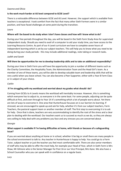#### *Swarna and Olivia*

#### **Is the work much harder at AS level compared to GCSE Level?**

There is a noticeable difference between GCSE and AS Level. However, the support which is available from teachers is exceptional. I took comfort from the fact that many other Sixth Formers were in a similar position, and have faced challenges at some point during the transition.

#### *Laura*

#### **Where will I be based to do study when I don't have classes and how will I know what to do?**

During your free periods throughout the day, you will be based in the Sixth Form Study Area for supervised independent study. Should you need to avail of a computer to aid your study time, you have access to the Learning Resource Centre. As part of our A Level curriculum we have to complete seven hours of independent learning which is set by our subject teachers. This will help you to know what you need to be doing during your study periods - this may include additional readings, note taking or research tasks.

#### *Judith and Sarah*

#### **Will there be opportunities for me to develop leadership skills and to take on additional responsibility?**

During your time in Sixth Form you will have the opportunity to join a number of different teams such as the Charity Committee, the Hospitality Team, the Administration Team and the Head Girl's team. As a member of one of these teams, you will be able to develop valuable team and leadership skills that will be very useful when you leave school. You can also become a Peer Supporter, either with a Year 8 Form Class or in subject of your choice.

#### *Caitlin*

#### **If I'm struggling with my workload and worried about my grades what should I do?**

Coming from GCSEs to A Levels means the workload will inevitably increase. However, this is something which everyone has to adjust to, so everyone is in the same boat. For some people, adjusting can be quite difficult at first, and even through to Year 14 it's something which a lot of people worry about. Yet there are lots of ways to overcome it. One area that Hunterhouse focusses on is our barriers to learning. If stressed, we are encouraged to speak up and ask for help, whether it's from our subject teachers, Form Teachers, the pastoral support team or another member of staff. The first step to overcoming it is to ask for help. Once that is done, teachers are very accommodating to identify the root of the stress and a clear plan to dealing with the workload. Our teachers want us to succeed as much as we do, so they are always very willing to help deal with any problems you face and any stresses you are concerned about.

#### *Georgie*

#### **What support is available if I'm having difficulties at home, with friends or because of a safeguarding issue?**

If you are worried about anything at home or in school, whether it be big or small there are many people in the school environment to talk to. Any teacher in Hunterhouse is happy to help. You could go to a Form Tutor, subject teacher or just the teacher you feel most comfortable with. There are also senior members of staff who may be able to offer the most help, for example your Head of Year, which in Sixth Form is Mrs Shaw, Mr Gilmore who is the Senior Manager for Post 16 or our Vice Principal, Mrs Kane. We also have a School Counsellor who you can speak with in confidence on a regular basis.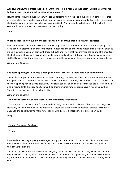#### **As a student new to Hunterhouse I don't want to feel like a Year 8 all over again - will it be easy for me to find my way round and get to know other students?**

Having come to Hunterhouse in Year 10, I can understand how it feels to move to a new school later than everyone else. The school is easy to find your way around, I knew my way around after my first week, and the teachers are so supportive in helping you to settle in. You are made to feel a part of the school community straight away, and everyone is so welcoming.

*Joanna*

#### **What if I choose a new subject and realise after a week or two that it's not what I expected?**

Most people have the option to choose four AS subjects to start off with and it is common for people to drop a subject after the first or second month, most often the one they find most difficult or don't enjoy as much. However, if you only start with three subjects and know that you aren't suited to one of them after the first couple of weeks, it may be possible to drop it and pick up a different one. Teachers and careers staff will ensure that the A Levels you choose are suitable for you and the career path you are considering.

#### *Hannah and Christina*

#### **I've heard applying to university is a long and difficult process - is there help available with this?**

The application process for university can seem daunting, however, each Year 14 student at Hunterhouse College is allocated one hour a week with a UCAS Tutor who is carefully selected based on the courses that they are applying for. This time allows you to discuss courses and universities that you are interested in. It also gives students the opportunity to work on their personal statement and have it reviewed by their Tutor in order to achieve their full potential.

#### *Hannah and Christina*

#### **I know Sixth Form will be hard work - will there be time for any fun?**

It's important to set aside time for independent study so your workload doesn't become unmanageable. However, having fun should still be important. I enjoy the extra-curricular activities offered in school. It gives you the opportunity to make new friends. Sixth Form is a short period of time, so enjoy it!

*Holly*

#### **People, Places and Privileges**

#### **People**

Independent Learning is greatly encouraged during your time in Sixth Form, but as a Sixth Form student you are never alone; at Hunterhouse College there are many staff members available to help guide you through Sixth Form life.

The Heads of Sixth Form, Mrs Shaw or Mrs Playfair, are available to help you with any worries or concerns you may have. They regularly communicate with the Sixth Form through weekly assembly, in Form Time or, if need be, on an individual basis and in regular meetings with both the Head Girl and Deputy Head Girl.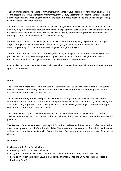The Senior Manager for Key Stage 5, Mr Gilmore, is in charge of Student Progress for Post 16 students. He coordinates the Assertive Mentoring Programme, is the Deputy Designated Teacher for Safeguarding and has the responsibility for linking the pastoral and academic areas of school life and undertaking Learning Guidance interviews when required.

The Principal and Vice Principal, Mr Gibson and Mrs Kane, seek to ensure each individual student succeeds and they put great effort into monitoring the individual progress of each student. They are greatly involved with Sixth Form, meeting regularly with the Head Girl's Team, communicating through assemblies and meeting students on an individual basis, when necessary.

Form Teachers at Hunterhouse College are available for support during daily registration and through a target-setting interview at the start of each academic year, followed by four individual Assertive Mentoring Meetings for academic review of progress throughout the year.

A Careers Education and Guidance Tutor will guide you by holding individual interviews before you take part in work placement, complete your UCAS application and your transition to higher education at the end of Year 14, and also through communication in lectures and careers lessons.

Our Head of Individual Needs, Mr Press, is also available to help with any special and/or additional needs or special circumstances.

#### **Places**

**The Sixth Form Centre**: this area of the school is strictly for the use of Sixth Form students. The centre includes a recreational room, available to use at break, lunch and during recreational periods and a kitchen area with multiple kitchen facilities.

**The Sixth Form Study and Learning Resource Centre**: the large study room which connects to the Learning Resource Centre is a quiet area for independent study, which is supervised by Dr McCarthy, the Sixth Form Study Supervisor. The Learning Resource Centre allows you to engage in research using both conventional and internet-style approaches.

**The Career Zone:** a quiet area where students can carry out the essential CEIAG research needed as Sixth Form students plan their career pathways. The Head of Careers is based here and is available for guidance.

**The Redwood Centre Restaurant**: opening at 8.00am for breakfast, with free tea and coffee, Redwood is an excellent place to relax before the school day. The break-time menu consists of hot drinks and snacks, while at lunch time both the Sandwich Bar and Hot Food Bar open, providing a wide variety of lunch-time choices.

#### **Privileges**

#### **Privileges within Sixth Form include:**

- A weekly one-hour recreational period;
- Early lunch for those Sixth Form students who have independent study during period 3;
- Permission to leave school at 2:20pm on a Friday afternoon once the UCAS application process is finished in Year 14.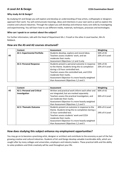#### **Why study Art & Design?**

By studying Art and Design you will explore and develop an understanding of how artists, craftspeople or designers approach their work. You will communicate meanings, ideas and intentions in your own work as well as explore the creative and cultural industries. Through the subject you will develop and enhance many core skills by investigating and experimenting. You will learn how to use different media, materials, techniques, processes and technologies.

#### **Who can I speak to or contact about the subject?**

For further information, talk with the Head of Department Ms J. Frizzell or the other A Level teacher, Mrs N. Rebbeck.

|           | Content                             | Assessment                                      | Weighting      |
|-----------|-------------------------------------|-------------------------------------------------|----------------|
|           | <b>AS 1: Experimental Portfolio</b> | Students develop, explore and record ideas.     | 50% of AS      |
| <b>AS</b> |                                     | Teachers assess students' work, and we          | 20% of A Level |
|           |                                     | moderate their marks.                           |                |
|           |                                     | Assessment Objectives 1,2 and 3 only            |                |
|           | <b>AS 2: Personal Response</b>      | Students present a personal outcome in response | 50% of AS      |
|           |                                     | to the theme. Students bring this to completion | 20% of A Level |
|           |                                     | during a 10 hour controlled test.               |                |
|           |                                     | Teachers assess the controlled task, and CCEA   |                |
|           |                                     | moderate their marks.                           |                |
|           |                                     | Assessment Objective 4 is more heavily weighted |                |
|           |                                     | than Assessment Objectives 1,2 and 3.           |                |

#### **How are the AS and A2 courses structured?**

|    | Content                     | Assessment                                        | Weighting      |
|----|-----------------------------|---------------------------------------------------|----------------|
| A2 | A2 1: Personal and Critical | Written and practical work inform each other and  | 60% of A2      |
|    | Investigation               | are integrated, but are marked separately.        |                |
|    |                             | Teachers assess the practical investigation, and  | 36% of A Level |
|    |                             | we moderate their marks.                          |                |
|    |                             | Assessment Objective 4 is more heavily weighted   |                |
|    |                             | than Assessment Objectives 1,2 and 3.             |                |
|    | A2 2: Thematic Outcome      | Students present an outcome in response to the    | 40% of A Level |
|    |                             | theme. Students bring this to completion during a |                |
|    |                             | 15 hour controlled test.                          | 24% of A Level |
|    |                             | Teachers assess students' work and CCEA           |                |
|    |                             | moderate their marks.                             |                |
|    |                             | Assessment Objective 4 is more heavily weighted   |                |
|    |                             | than Assessment Objectives 1,2 and 3.             |                |

#### **How does studying this subject enhance my employment opportunities?**

You may go on to become a practising artist, designer or architect and contribute to the economy as part of the fastgrowing creative and cultural industries. Students of Art and Design develop valuable transferable skills, which are sought after by many colleges and universities, employers and industry leaders. These practical skills and the ability to solve problems and think creatively will be used throughout your life.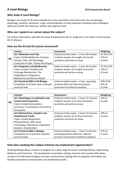#### **Why study A Level Biology?**

Biology is the study of Life and is divided into many specialised areas that cover the morphology, physiology, anatomy, behaviour, origin, and distribution of living organisms including recent biological advances at both the molecular, cellular and organism level.

#### **Who can I speak to or contact about the subject?**

For further information, talk with the Head of Department Mrs H. Anderson or the other A Level teacher, Mr N. Gilmore.

#### **How are the AS and A2 courses structured?**

|           | Content                                 | Assessment                                 | Weighting   |
|-----------|-----------------------------------------|--------------------------------------------|-------------|
|           | <b>AS 1 Molecules and Cells</b>         | External written exam $-1$ hour 30 minutes | 37.5% of AS |
| <b>AS</b> | Topics include Molecules, Enzymes,      | students answer six to eight structured    | 15% of      |
|           | Viruses, Cells, Cell Physiology,        | questions and write an essay               | A Level     |
|           | Continuity of Cells, Tissues and Organs |                                            |             |
|           | <b>AS 2 Organisms and Biodiversity</b>  | External written exam $-1$ hour 30 minutes | 37.5% of AS |
|           | Topics include Transport and            | students answer six to eight structured    | $15\%$ of   |
|           | Exchange Mechanisms, The                | questions and write an essay               | A Level     |
|           | Adaptations of Organisms,               |                                            |             |
|           | <b>Biodiversity and Human Impact</b>    |                                            |             |
|           | AS 3 Practical Skills in AS Biology     | External written exam $-1$ hour, assessing | 25% of AS   |
|           | Completion of at least seven assessed   | practical skills and internal practical    | $10\%$ of   |
|           | practical tasks                         | assessment (marked by teacher)             | A Level     |

|                | Content                                 | Assessment                                 | Weighting |
|----------------|-----------------------------------------|--------------------------------------------|-----------|
|                | A2 1 Physiology, Co-ordination and      | External written exam - 2 hours 15 minutes | 24% of    |
| A <sub>2</sub> | <b>Control and Ecosystems</b>           | students answer six to nine structured     | A Level   |
|                | Topics include Homeostasis,             | questions and write an essay.              |           |
|                | Immunity, Co-ordination and Control,    |                                            |           |
|                | Ecosystems                              |                                            |           |
|                | A2 2 Biochemistry, Genetics and         | External written exam - 2 hours 15 minutes | 24% of    |
|                | <b>Evolutionary Trends</b>              | students answer six to nine structured     | A Level   |
|                | Topics include Respiration,             | questions and write an essay.              |           |
|                | Photosynthesis, DNA, Gene               |                                            |           |
|                | Technology, Inheritance, Population     |                                            |           |
|                | Genetics, Classification                |                                            |           |
|                | <b>A2 3 Practical Skills in Biology</b> | External written exam - 1 hour 15 minutes  | $12\%$ of |
|                | Completion of at least five assessed    | assessing practical skills and internal    | A Level   |
|                | practical tasks                         | practical assessment (marked by teacher)   |           |

#### **How does studying this subject enhance my employment opportunities?**

Studying Biology allows students to progress to a wide range of careers including Science, Engineering, Medicine and Commerce. The development of problem-solving, practical and research skills allows students to understand biological concepts and processes helping them to organise information and develop competent communication and mathematical skills.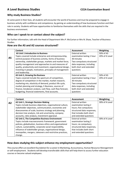#### **A Level Business Studies CCEA Examination Board**

#### **Why study Business Studies?**

At some point in their lives, all students will encounter the world of business and must be prepared to engage in business activity with confidence and competence, by gaining an understanding of how businesses function and their role in society. Students will have opportunities to familiarise themselves with the skills that are required in the business environment.

#### **Who can I speak to or contact about the subject?**

For further information, talk with the Head of Department Mrs P. McCartan or Mrs N. Shaw, Teacher of Business Studies.

#### **How are the AS and A2 courses structured?**

|    | Content                                                      | <b>Assessment</b>          | Weighting      |
|----|--------------------------------------------------------------|----------------------------|----------------|
|    | <b>AS Unit 1 Introduction to Business</b>                    | <b>External written</b>    | 50% of AS      |
|    | Topics covered include enterprise and entrepreneurship,      | examination lasting 1 hour | 20% of A Level |
| AS | central purpose of business activity, forms of business      | 30 minutes                 |                |
|    | ownership, stakeholder groups, markets and market force,     | Two compulsory structured  |                |
|    | quality management and approaches to and measures of         | data responses, including  |                |
|    | quality, productivity and investment, organisational design, | both short and extended    |                |
|    | investing in people, motivation, principles of management    | questions                  |                |
|    | and leadership.                                              |                            |                |
|    | AS Unit 2, Growing the Business                              | External written           | 50% of AS      |
|    | Topics covered include the spectrum of competition,          | examination lasting 1 hour | 20% of A Level |
|    | degree of competition in the market, market research,        | 30 minutes                 |                |
|    | marketing mix, elasticity of demand, product life cycle,     | Two compulsory structured  |                |
|    | market planning and strategy, E-Business, sources of         | data responses, including  |                |
|    | finance, breakeven analysis, cash flow, cash flow forecast,  | both short and extended    |                |
|    | budgeting, financial statements, final accounts.             | questions                  |                |

|    | Content                                                     | <b>Assessment</b>          | <b>Weighting</b> |
|----|-------------------------------------------------------------|----------------------------|------------------|
| A2 | A2 Unit 1, Strategic Decision Making                        | External written           | 30% of A Level   |
|    | Topics include business objectives, organisational culture, | examination lasting 2      |                  |
|    | stakeholder objectives, communication, economies and        | hours; five compulsory     |                  |
|    | diseconomies of scale, business strategy and planning,      | structured data responses, |                  |
|    | decision tree analysis, risk and uncertainty, company       | that includes both short   |                  |
|    | accounts, ratio analysis, investment appraisal.             | and extended questions     |                  |
|    | A2 Unit 2, The Competitive Business Environment             | <b>External written</b>    | 30% of A Level   |
|    | Topics include macroeconomic framework, government          | examination lasting 2      |                  |
|    | policies, globalisation, business ethics and organisational | hours; six compulsory      |                  |
|    | culture, sustainability, corporate social responsibility,   | structured data responses, |                  |
|    | influence of stakeholder groups, organisational design,     | that includes both short   |                  |
|    | monopolies, mergers, takeovers and restrictive practices,   | and extended questions     |                  |
|    | change.                                                     |                            |                  |

#### **How does studying this subject enhance my employment opportunities?**

This course offers an excellent foundation for a career in Marketing, Accountancy, Human Resource Management orself-employment. Students will develop transferable skillsthat will help them to access further education courses or become valued employees.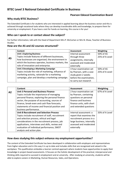#### **BTEC Level 3 National Extended Certificate in Business**

#### **Pearson Edexcel Examination Board**

#### **Why study BTEC Business?**

The Extended Certificate is for students who are interested in applied learning about the business sector and this is achieved through vocational tasks where they can develop transferable skills and knowledge, to prepare them for university or employment. If you have a zest for hands-on learning, this course is for you!

#### **Who can I speak to or contact about the subject?**

For further information, talk with the Head of Department Mrs P. McCartan or Mrs N. Shaw, Teacher of Business Studies.

#### **How are the AS and A2 courses structured?**

|    | Content                                            | <b>Assessment</b>       | Weighting      |
|----|----------------------------------------------------|-------------------------|----------------|
|    | <b>Unit 1 Exploring Business</b>                   | Internal assessment     | 50% of AS      |
|    | Topics include features of different businesses,   | through three           | 25% of A Level |
| AS | how businesses are organised, the environment in   | assignments, internally |                |
|    | which the business operates, business markets, the | assessed and moderated  |                |
|    | role of innovation and enterprise.                 | externally              |                |
|    | Unit 2 Developing a Marketing Campaign             | 3 hour examination set  | 50% of AS      |
|    | Topics include the role of marketing, influence of | by Pearson, with a case | 25% of A Level |
|    | marketing activity, rationale for a marketing      | study given 2 weeks     |                |
|    | campaign, plan and develop a marketing campaign.   | before the examination, |                |
|    |                                                    | to carry out research   |                |

|                | Content                                          | Assessment                 | Weighting      |
|----------------|--------------------------------------------------|----------------------------|----------------|
| A <sub>2</sub> | <b>Unit 3 Personal and Business Finance</b>      | 2 hour examination set     | 67% of A Level |
|                | Topics include the importance of managing        | by Pearson, containing     |                |
|                | personal finance, exploring the personal finance | questions on personal      |                |
|                | sector, the purpose of accounting, sources of    | finance and business       |                |
|                | finance, break-even and cash flow forecasts,     | finance units, with short  |                |
|                | statements of income and financial position and  | and extended questions     |                |
|                | business performance.                            |                            |                |
|                | <b>Unit 8 Recruitment and Selection Process</b>  | Internal assessment: a     | 33% of A Level |
|                | Topics include recruitment of staff, recruitment | report that examines the   |                |
|                | and selection process, ethical and legal         | recruitment process in a   |                |
|                | considerations in the recruitment process, job   | large business, internally |                |
|                | applications, interviews and skills, review and  | assessed and moderated     |                |
|                | evaluation of individual performance, SWOT       | externally                 |                |
|                | analysis and action plan.                        |                            |                |

#### **How does studying this subject enhance my employment opportunities?**

The content of the Extended Certificate has been developed in collaboration with employers and representatives from higher education and in this way it is up to date and includes skills that are recognised and valued in the workplace. This qualification embodies a learner centred approach where students have opportunities to apply their knowledge in project-based assessments. It focuses on the holistic development of the practical, interpersonal and thinking skills required to succeed in employment and at university. After studying at university, students will be able to explore careers in Marketing, Human Resources, Sales, and Operations.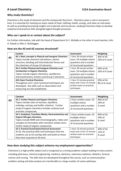#### **Why study Chemistry?**

Chemistry is the study of elements and the compounds they form. Chemistry plays a role in everyone's lives, it is essential for meeting our basic needs of food, clothing, health, energy, and clean air and water. As well as providing fascinating insights into materials and structures, studying Chemistry helps to develop analytical and practical skills alongside logical thought processes.

#### **Who can I speak to or contact about the subject?**

For further information, talk with the Head of Department Dr C. McNally or the other A Level teachers, Mrs H. Dowds or Miss S. McSwiggan.

#### **How are the AS and A2 courses structured?**

|           | Content                                                  | Assessment                 | Weighting      |
|-----------|----------------------------------------------------------|----------------------------|----------------|
| <b>AS</b> | AS 1: Basic concepts in Physical and Inorganic Chemistry | 1 hour 30 minute written   | 40% of AS      |
|           | Topics include chemical calculations, atomic             | exam: 10 multiple-choice   | 16% of A Level |
|           | structure, bonding and intermolecular forces and         | questions and a number     |                |
|           | the chemistry of Group VII elements.                     | of structured questions    |                |
|           | AS 2: Further Physical and Inorganic Chemistry and       | 1 hour 30 minute written   | 40% of AS      |
|           | introduction to Organic Chemistry                        | exam: 10 multiple-choice   | 16% of A Level |
|           | Topics include organic chemistry, equilibrium,           | questions and a number     |                |
|           | thermochemistry, kinetics and Group II elements.         | of structured questions    |                |
|           | <b>AS3: Basic Practical Chemistry</b>                    | 1 hour 15 minute practical | 20% of AS      |
|           | Throughout unit 1 and 2 practical techniques are         | exam and 1 hour 15 minute  | 8% of A Level  |
|           | developed. Key skills such as observation and            | written exam on practical  |                |
|           | measuring are also established.                          | techniques                 |                |

|                | Content                                                   | Assessment                 | Weighting |
|----------------|-----------------------------------------------------------|----------------------------|-----------|
| A <sub>2</sub> | A2 1: Further Physical and Organic Chemistry              | 2 hour written exam: 10    | 40% of A2 |
|                | Topics include rates of reaction, equilibria,             | multiple-choice            | 24% of    |
|                | enthalpy, entropy and buffer solutions. Further           | questions and a number     | A Level   |
|                | study of organic chemistry includes carbonyl and          | of structured questions    |           |
|                | aromatic compounds.                                       |                            |           |
|                | A2 2: Analytical, Transition Metals, Electrochemistry and | 2 hour written exam: 10    | 40% of A2 |
|                | <b>Organic Nitrogen Chemistry</b>                         | multiple-choice            | 24% of    |
|                | Topics include NMR and chromatography, redox and          | questions and a number     | A Level   |
|                | complex ion formation with transition metals and a        | of structured questions    |           |
|                | further study of organic compounds.                       |                            |           |
|                | A2 3, Practical Examination/Internal Assessment           | 1 hour 15 minute practical | 20% of A2 |
|                | At A2, the practical skills and techniques that the       | exam and 1 hour 15 minute  | 12% of    |
|                | students use at A2 overlap with and build on those        | written exam on practical  | A Level   |
|                | they have acquired at AS level.                           | techniques                 |           |

#### **How does studying this subject enhance my employment opportunities?**

Chemistry is a high profile subject and is recognised as a strong academic subject leading to many careers including pharmacy, chemical engineering, medicine, dentistry, veterinary medicine, dietetics, forensic science and nursing. The skills that are developed throughout the course, such as communication, problem solving and data analysis are transferable to a large number of career pathways.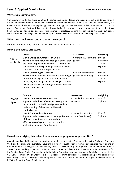#### **Level 3 Applied Criminology WIEC Examination Board**

#### **Why study Criminology?**

Crime is always in the headlines. Whether it's contentious policing tactics or public outcry at the sentences handed out to high profile offenders – crime and justice stimulate fervent debates. WJEC Level 3 Diploma in Criminology is a qualification with elements of psychology, law and sociology that complements studies in humanities. This is an Applied General qualification. This means it is designed primarily to support learners progressing to university. It has been created to offer exciting and interesting experiences that focus learning through applied methods, i.e. through the acquisition of knowledge and understanding in purposeful contexts linked to the criminal justice system.

#### **Who can I speak to or contact about the subject?**

For further information, talk with the Head of Department Mrs K. Playfair.

#### **How is the course structured?**

|                    | Content                                            | Assessment                   | Weighting   |
|--------------------|----------------------------------------------------|------------------------------|-------------|
| Year 1 -           | <b>Unit 1 Changing Awareness of Crime</b>          | <b>Controlled Assessment</b> | 50% of      |
| <b>Certificate</b> | Topics include the study of a range of crimes that | (8 hours)                    | Certificate |
|                    | are under-reported in society. Students will       |                              | 25% of      |
|                    | conclude the unit by planning a campaign to raise  |                              | Diploma     |
|                    | awareness of an under-reported crime.              |                              |             |
|                    | <b>Unit 2 Criminological Theories</b>              | <b>External Examination</b>  | 50% of      |
|                    | Topics include the consideration of a wide range   | (1 hour 30 minutes)          | Certificate |
|                    | of theoretical explanations for crime, including   |                              | 25% of      |
|                    | biological, psychological and sociological. These  |                              | Diploma     |
|                    | will be contextualised through the consideration   |                              |             |
|                    | of real criminal cases.                            |                              |             |

|                | Content                                        | Assessment                   | Weighting |
|----------------|------------------------------------------------|------------------------------|-----------|
| Year 2-        | <b>Unit 3 Crime Scene to Court Room</b>        | <b>Controlled Assessment</b> | 25% of    |
| <b>Diploma</b> | Topics include the usefulness of investigative | (8 Hours)                    | Diploma   |
|                | techniques in criminal investigations, and an  |                              |           |
|                | understanding of the use of evidence in        |                              |           |
|                | criminal cases                                 |                              |           |
|                | <b>Unit 4 Crime and Punishment</b>             | <b>External Examination</b>  | 25% of    |
|                | Topics include an overview of the organisation | (1 hour 30 minutes)          | Diploma   |
|                | of the Criminal Justice System and the         |                              |           |
|                | effectiveness of agents of social control as   |                              |           |
|                | well as the purpose of punishment.             |                              |           |
|                |                                                |                              |           |

#### **How does studying this subject enhance my employment opportunities?**

An understanding of Criminology is relevant to many job roles within the Criminal Justice sector, Social and Probation Work and Sociology and Psychology. Studying a third level qualification in Criminology provides you with lots of options within the public, private and voluntary sector. Many students go on to pursue a career within the Criminal Justice System, working in roles such as Police Officer, Probation Officer, Prison Governor, Case Review Manager for the Criminal Cases Review Commission or in the field of Forensic Accounting. A career in Public Policy - either in the Civil Service, Think Tank or Charity - is also an option. Having developed an understanding of the social issues surrounding crime, a Criminology student may be well suited to a career in Welfare, for example Social Work, or a role in Victim Support or Drugs Rehabilitation.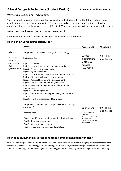#### **A Level Design & Technology (Product Design) Edexcel Examination Board**

#### **Why study Design and Technology?**

This course will equip our students with design and manufacturing skills for the future and encourage development of creativity and innovation. This enjoyable A Level provides opportunities to develop numerous other key skills such as the use of ICT, S.T.E.M and interpersonal skills when dealing with clients.

#### **Who can I speak to or contact about the subject?**

For further information, talk with the Head of Department Mr T. Campbell.

#### **How is the A Level course structured?**

|                                                                 | <b>Content</b>                                                                                                                                                                                                                                                                                                                                                                                                                                                                                                                                                                                              | <b>Assessment</b>                                                                                                         | Weighting                   |
|-----------------------------------------------------------------|-------------------------------------------------------------------------------------------------------------------------------------------------------------------------------------------------------------------------------------------------------------------------------------------------------------------------------------------------------------------------------------------------------------------------------------------------------------------------------------------------------------------------------------------------------------------------------------------------------------|---------------------------------------------------------------------------------------------------------------------------|-----------------------------|
| A Level                                                         | <b>Component 1: Principles of Design and Technology</b>                                                                                                                                                                                                                                                                                                                                                                                                                                                                                                                                                     |                                                                                                                           |                             |
| (AS Level<br>is not an<br>option with<br>this<br>Specification) | Topics includes:<br>Topic 1: Materials<br>Topic 2: Performance characteristics of materials<br>Topic 3: Processes and techniques<br>Topic 4: Digital technologies<br>Topic 5: Factors influencing the development of products<br>Topic 6: Effects of technological developments<br>Topic 7: Potential hazards and risk assessment<br>Topic 8: Features of manufacturing industries<br>Topic 9: Designing for maintenance and the cleaner<br>environment<br>Topic 10: Current legislation<br>Topic 11: Information handling, Modelling and forward<br>planning<br>Topic 12: Further processes and techniques | Written<br>examination:<br>2 hours 30<br>minutes<br>$(120 \text{ marks})$                                                 | 50% of the<br>qualification |
|                                                                 | <b>Component 2: Independent Design and Make Project (split</b><br>into 4 parts)<br>Work includes:<br>Part 1: Identifying and outlining possibilities for design<br>Part 2: Designing a prototype<br>Part 3: Making a final prototype<br>Part 4: Evaluating own design and prototype                                                                                                                                                                                                                                                                                                                         | Coursework<br>The portfolio will<br>contain<br>approximately 20-<br>30 sides of A3<br>paper (or electronic<br>equivalent) | 50% of the<br>qualification |

#### **How does studying this subject enhance my employment opportunities?**

Students can progress towards a number of areas to be studied at university or through apprenticeships leading to careers in Mechanical Engineering, Civil Engineering, Product Design, Industrial Design, Architecture, Design and Applied Technology, Aeronautical Engineering, Building/Quantity Surveying, Electrical Engineering and Teaching.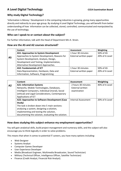## **A Level Digital Technology** *CCEA Examination Board*

#### **Why study Digital Technology?**

'Information is Money.' Development in the computing industries is growing, giving many opportunities directly and indirectly to your age group. By studying A Level Digital Technology, you will benefit from better understanding of how information can be collected, stored, controlled, communicated and manipulated by the use of technology.

#### **Who can I speak to or contact about the subject?**

For further information, talk with the Head of Department Mrs K. Strain.

#### **How are the AS and A2 courses structured?**

|    | Content                                       | Assessment             | Weighting      |
|----|-----------------------------------------------|------------------------|----------------|
|    | <b>AS1: Approaches to System Development</b>  | 1 hour 30 minutes      | 50% of AS      |
| AS | Approaches to System Development, Reasons for | External written paper | 20% of A Level |
|    | System Development, Analysis, Design,         |                        |                |
|    | Development and Testing, Implementation,      |                        |                |
|    | Alternative Development Approaches.           |                        |                |
|    | <b>AS2: Fundamentals of ICT</b>               | 1 hour 30 minutes      | 50% of AS      |
|    | Data Representation, Hardware, Data and       | External written paper | 20% of A Level |
|    | Information, Software, Programming            |                        |                |

|    | Content                                            | Assessment                 | Weighting      |
|----|----------------------------------------------------|----------------------------|----------------|
| A2 | <b>A21: Information Systems</b>                    | 2 hours 30 minutes         | 40% of A Level |
|    | Networks, Mobile Technologies, Databases,          | <b>External written</b>    |                |
|    | Intelligent Computers, Individual (moral), Social  | examination                |                |
|    | (ethical) and Legal Considerations, Contemporary   |                            |                |
|    | Applications of ICT                                |                            |                |
|    | A22: Approaches to Software Development (Case      | <b>Internal Assessment</b> | 20% of A Level |
|    | Study)                                             |                            |                |
|    | The task is broken down into 5 main sections:      |                            |                |
|    | analysing a system, designing a solution,          |                            |                |
|    | implementing and testing the solution,             |                            |                |
|    | documenting the solution, evaluating the solution. |                            |                |

#### **How does studying this subject enhance my employment opportunities?**

You will gain analytical skills, build project management and numeracy skills, and the subject will also encourage you to think logically in order to solve problems.

This means that when it comes to potential IT careers, you have many options including:

- Web Designer
- Systems Analyst
- [Computer Games Developer](https://successatschool.org/advicedetails/167/60-Second-Interview:-Senior-Games-Product-Manager)
- User Experience Developer
- Media (Broadcast Engineer, Multimedia Broadcaster, Sound Technician)
- Military (Technical Officer, Intelligence Officer, Satellite Technician)
- Finance (Credit Analyst, Financial Risk Analyst).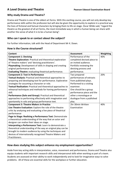#### **A Level Drama and Theatre** <br>**Pearson Edexcel Examination Board**

#### **Why study Drama and Theatre?**

Drama and Theatre is one of the oldest art forms. With this exciting course, you will not only develop key performance skills within the profession but will also be given the opportunity to explore in a practical way the lives of fictional and factual characters by bringing them to life on stage. Oscar Wilde said, "regard the theatre as the greatest of all art forms, the most immediate way in which a human being can share with another the sense of what it is to be a human being".

#### **Who can I speak to or contact about the subject?**

For further information, talk with the Head of Department Mr K. Down.

#### **How is the Course structured?**

| Content                                                       | <b>Assessment</b>          | Weighting |
|---------------------------------------------------------------|----------------------------|-----------|
| <b>Component 1: Devising</b>                                  | Performance of the         | 40%       |
| Theatre Exploration: Practical and theoretical exploration    | completed devised piece to |           |
| of 'theatre makers' and 'devising practitioners'.             | an invited audience.       |           |
| Playmaking: Development of skills in shaping and creating     | Portfolio reviewing the    |           |
| original performance work.                                    | devising process and       |           |
| Evaluating Theatre: evaluating theatrical performance.        | performance.               |           |
| <b>Component 2: Text in Performance</b>                       | Two prepared               | 20%       |
| Textual Analysis: Practical and theoretical approaches to     | performances of extracts   |           |
| preparing and developing text for performance. Explorative    | from published plays.      |           |
| strategies for assuming a character or role.                  | Performed to a visiting    |           |
| Textual Realisation: Practical and theoretical approaches to  | examiner.                  |           |
| rehearsal techniques and methods for honing performance       | One should be a group      |           |
| skill.                                                        | performance piece and the  |           |
| Performance (Solo and Group): Practical and theoretical       | other a monologue or       |           |
| approaches to performing effectively with imagination and     | duologue from a published  |           |
| spontaneity in solo and group performance text.               | play.                      |           |
| <b>Component 3: Theatre Makers in Practice</b>                | 2hr 30min Written          | 40%       |
| Live Theatre Evaluation: Explore the role of the theatre      | Examination                |           |
| critic by analysing and evaluating a live piece of theatrical |                            |           |
| performance                                                   |                            |           |
| Page to Stage: Realising a Performance Text: Demonstrate      |                            |           |
| a theoretical understanding of the way that an actor and      |                            |           |
| designer can realise their ideas on stage.                    |                            |           |
| Interpreting a Performance Text: Learn to demonstrate a       |                            |           |
| theoretical understanding of the way an original play can be  |                            |           |
| brought to modern audience by using the techniques and        |                            |           |
| devices of internationally recognised Theatre Makers and      |                            |           |
| Practitioners.                                                |                            |           |

#### **How does studying this subject enhance my employment opportunities?**

Aside from key acting skills in interpretation, voice, movement and performance, Drama and Theatre also equips students with important research skills and interpersonal skills when working as part of a team. Students are assessed on their ability to work independently and to look for imaginative ways to solve problems. All of these are essential skills for the workplace or further education.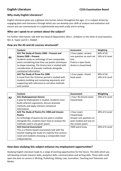#### **Why study English Literature?**

English Literature gives you a glimpse into human nature throughout the ages. It is a subject driven by engaging plots and characters through which you can develop your skills of analysis and evaluation and ensure you can communicate in a sophisticated way both orally and in writing.

#### **Who can I speak to or contact about the subject?**

For further information, talk with the Head of Department, Miss L. Gribbons or the other A Level teachers, Mrs A. Taylor and Dr J. Riddell.

#### **How are the AS and A2 courses structured?**

| AS | Content                                           | Assessment               | Weighting      |
|----|---------------------------------------------------|--------------------------|----------------|
|    | AS1 The Study of Poetry 1900 - Present and        | 2 hour paper, answer     | 60% of AS      |
|    | Drama 1900 - Present                              | one question on each set | 24% of A Level |
|    | Students study an anthology of two comparable     | text                     |                |
|    | poets considering how they use poetic techniques  | Poetry is open book,     |                |
|    | to shape meaning. The Drama text is studied with  | drama is closed book     |                |
|    | consideration of dramatic methods alongside       |                          |                |
|    | contextual information.                           |                          |                |
|    | AS2 The Study of Prose Pre 1900                   | 1 hour paper, closed     | 40% of AS      |
|    | A novel from the Victorian period is studied with | book exam                | 16% of A Level |
|    | students building and sustaining arguments and    |                          |                |
|    | supporting with reference to narrative methods    |                          |                |
|    | and context.                                      |                          |                |

|                | Content                                             | Assessment              | Weighting      |
|----------------|-----------------------------------------------------|-------------------------|----------------|
| A <sub>2</sub> | <b>A21 Shakespearean Genres</b>                     | 1 hour 30 minute exam   | 20% of A Level |
|                | A play by Shakespeare is studied. Students must     | Closed book             |                |
|                | build coherent arguments, discuss dramatic          |                         |                |
|                | methods and apply relevant contextual               |                         |                |
|                | information.                                        |                         |                |
|                | A22 The Study of Poetry Pre 1900 and Unseen         | 2 hour exam             | 20% of A Level |
|                | <b>Poetry</b>                                       | Closed book             |                |
|                | An anthology of poems by one poet is studied.       | Answer one question on  |                |
|                | Alongside this, students learn how to analyse the   | poet studied and one on |                |
|                | methods used in any given poem.                     | the unseen poem         |                |
|                | <b>A23 Internal Assessment</b>                      | 2500 word essay         | 20% of A Level |
|                | This is a theme-based coursework task with the      |                         |                |
|                | teacher leading the study of a twenty first century |                         |                |
|                | novel and students choosing a comparable novel      |                         |                |
|                | independently.                                      |                         |                |

#### **How does studying this subject enhance my employment opportunities?**

Studying English Literature leads to a range of exciting opportunities for the future. The skills which you will develop include research skills, analytical skills, communication and writing skills. These skills could open the door to careers in Writing, Publishing, Editing, Law, Journalism, Teaching and Television and Media.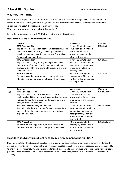## **A Level Film Studies WIEC Examination Board**

#### **Why study Film Studies?**

Film is the most significant art form of the 21<sup>st</sup> Century and an A Level in this subject will prepare students for a career in this field. Studying film encourages debates and discussions that will raise awareness and stimulate critical thinking about the media we consume every day.

#### **Who can I speak to or contact about the subject?**

For further information, talk with Mr M. Evans in the English Department.

#### **How are the AS and A2 courses structured?**

|    | Content                                                    | <b>Assessment</b>           | Weighting |
|----|------------------------------------------------------------|-----------------------------|-----------|
|    | <b>FM1 American Film</b>                                   | 1 hour 30 minute exam       | 35% of AS |
| AS | Topics cover a comparison between Classical Hollywood      | Two short questions and     |           |
|    | and New Hollywood through the study of two films           | two extended essay          |           |
|    | which represent each period and a single film study of     | questions based on the      |           |
|    | American Independent film.                                 | study of three films        |           |
|    | <b>FM2 European Film</b>                                   | 1 hour 30 minute exam       | 35% of AS |
|    | Topics include a study of the growing and distinctly       | One two-part question on    |           |
|    | unique style of modern British cinema through the          | two British films and one   |           |
|    | analysis of two films and a single film study of a foreign | question on a foreign       |           |
|    | language feature.                                          | language film               |           |
|    | <b>FM3 Production</b>                                      | One production (either      | 30% of AS |
|    | Students have the opportunity to create their own          | screenplay or film) and a   |           |
|    | filmed or written narrative on a topic of their choice.    | written reflective analysis |           |
|    |                                                            | of the product              |           |

|    | Content                                                 | Assessment                   | Weighting      |
|----|---------------------------------------------------------|------------------------------|----------------|
| A2 | <b>FM1 Varieties of Film</b>                            | 2 hour 30 minute exam        | 35% of A Level |
|    | Topics include a comparison between Classical           | Three questions in total,    |                |
|    | Hollywood and New Hollywood, a comparison between       | one question for each topic  |                |
|    | independent and mainstream modern cinema, and an        | mentioned in the content     |                |
|    | analysis of two British films.                          | section                      |                |
|    | <b>FM2 Global Filmmaking Perspectives</b>               | 2 hour 30 minute exam        | 35% of A Level |
|    | Topics include the study of two foreign language films, | Four questions in total, one |                |
|    | one silent era film, a documentary film and a single    | comparison question on       |                |
|    | experimental film.                                      | foreign language film and    |                |
|    |                                                         | one for each of the other    |                |
|    |                                                         | topics studied               |                |
|    | <b>FM3 Production</b>                                   | One production (either       | 30% of A Level |
|    | Students have the opportunity to create their own       | screenplay or film) and a    |                |
|    | filmed or written narrative on a topic of their choice. | written reflective analysis  |                |
|    |                                                         | of the product               |                |

#### **How does studying this subject enhance my employment opportunities?**

Students who take Film Studies will develop skills which will be beneficial in a wide range of careers. Students will acquire essay-writing skills, including the ability to construct logical, coherent written responses as well as the ability to analyse a text with maturity and insight. Students will also learn to plan, produce and refine an individual, creative product. These skills lend themselves to professions such as Television, Media, Law, Journalism, Marketing and Teaching.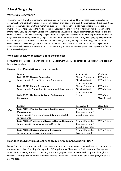## **A Level Geography CCEA Examination Board**

#### **Why study Geography?**

The world in which we live is constantly changing; people move around for different reasons, countries change economically and politically, wars occur, natural disasters are frequent and caught on camera, goods are bought and sold across the world and we travel more than ever before. The growth of digital media means that we are more aware of what is happening in the world around us. Geography is the subject that helps you make sense of all the information. Geography is highly valued by universities as an A Level choice, and combines well with both arts and science subjects. It can be a facilitating subject - that is a subject most likely to be required or preferred for entry to degree courses. Choosing facilitating subjects will keep more options at the university-level; geography opens doors to other degrees such as business and administrative studies, law, engineering and technology, and the other social physical sciences. Geography was also found to be the most relevant A Level subject in teaching students about climate change (YouGov/RGS 2020). In fact, according to the Guardian Newspaper, Geography is the "musthave" A-Level subject.

#### **Who can I speak to or contact about the subject?**

For further information, talk with the Head of Department Mrs P. Henderson or the other A Level teacher, Mrs S. Winnington.

|           | Content                                               | Assessment       | Weighting      |
|-----------|-------------------------------------------------------|------------------|----------------|
|           | <b>Code SGG11 Physical Geography</b>                  | 1hour 15 minutes | 40% of AS      |
| <b>AS</b> | Topics include Rivers, Biomes and Atmosphere          | Structured and   | 16% of A Level |
|           |                                                       | essay questions  |                |
|           | <b>Code SGG21 Human Geography</b>                     | 1hour 15 minutes | 40% of AS      |
|           | Topics include Population, Settlement and Development | Structured and   | 16% of A Level |
|           |                                                       | essay questions  |                |
|           | Code SGG31 Fieldwork Skills and Techniques in         | 1 hour           | 20% of AS      |
|           | Geography                                             |                  | 8% of A Level  |

#### **How are the AS and A2 courses structured?**

|                | Content                                                   | <b>Assessment</b>  | Weighting      |
|----------------|-----------------------------------------------------------|--------------------|----------------|
| A <sub>2</sub> | Code AGG11 Physical Processes, Landforms and              | 1 hour 30 minutes  | 24% of A Level |
|                | <b>Management</b>                                         | Choice of 2 from 4 |                |
|                | Topics include Plate Tectonics and Dynamic Coastal        | possible questions |                |
|                | Environments                                              |                    |                |
|                | <b>Code AGG21 Processes and Issues in Human Geography</b> | 1 hour 30 minutes  | 24% of A Level |
|                | Topics include Tourism and Ethnic Diversity               | Choice of 2 from 4 |                |
|                |                                                           | possible questions |                |
|                | <b>Code AGG31 Decision Making in Geography</b>            | 1 hour 30 minutes  | 12% of A Level |
|                | Based on a current real-world issue.                      | Writing a report   |                |

#### **How does studying this subject enhance my employment opportunities?**

Many Geography students go on to have successful and interesting careers in a wide and diverse range of areas such as Urban Planning, Cartography, GIS Applications, Climatology, Environmental Management, Weather Forecasting, Research, Teaching and Demography. Others use the skills acquired through the study of Geography to pursue careers that require similar skills, for example, GIS related jobs, which is a growth area.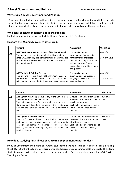#### **A Level Government and Politics CCEA Examination Board**

#### **Why study A Level Government and Politics?**

Government and Politics deals with decisions, issues and processes that change the world. It is through understanding how governments and institutions operate, and how power is distributed and exercised, that many important challenges can be addressed – human rights, poverty, equality, and welfare.

#### **Who can I speak to or contact about the subject?**

For further information, please contact the Head of Department, Dr P. Johnson.

#### **How are the AS and A2 courses structured?**

|           | Content                                                                                                                                                                                                                                                    | Assessment                                                                                                                                                                                           | Weighting                      |
|-----------|------------------------------------------------------------------------------------------------------------------------------------------------------------------------------------------------------------------------------------------------------------|------------------------------------------------------------------------------------------------------------------------------------------------------------------------------------------------------|--------------------------------|
| <b>AS</b> | AS1 The Government and Politics of Northern Ireland<br>This unit analyses the Northern Irish political system<br>since 1998, including the Northern Ireland Assembly, the<br>Northern Ireland Executive, and the Political Parties in<br>Northern Ireland. | 1 hour 45 minutes<br>examination: Four questions,<br>ranging from a short recall<br>question to a longer extended<br>writing question. Source<br>material is referred to in two of<br>the questions. | 40% of AS<br>16% of A Level    |
|           | <b>AS2 The British Political Process</b><br>This unit analyses the British Political System, including<br>the House of Commons, the House of Lords, the Prime<br>Minister and Cabinet, the Judiciary, and pressure groups.                                 | 1 hour 45 minutes<br>examination: Five questions<br>ranging from short recall to<br>extended writing.                                                                                                | $60\%$ of AS<br>24% of A Level |

|    | Content                                                                                                                                                                                                                                                                                                           | Assessment                                                                                                                                                                   | Weighting         |
|----|-------------------------------------------------------------------------------------------------------------------------------------------------------------------------------------------------------------------------------------------------------------------------------------------------------------------|------------------------------------------------------------------------------------------------------------------------------------------------------------------------------|-------------------|
| A2 | A21 Option A: A Comparative Study of the Government   2 hours 15 minutes examination:<br>and Politics of the USA and the UK<br>This unit analyses the functions and powers of the US<br>Congress and President, comparing the relationship<br>between the USA's legislature and executive with that of<br>the UK. | Section A: four questions, two of<br>which use a source.<br>Section B: two questions, one of<br>which is an extended writing<br>question.                                    | 35% of A<br>Level |
|    | <b>A22 Option A: Political Power</b><br>This unit focuses on the factors involved in creating and<br>maintaining power, studying concepts such as authority,<br>coercion and legitimacy. Theories of power are also<br>critically evaluated including Elite, Pluralist, Marxist and<br>Feminist theories.         | 1 hour 30 minutes examination:<br>Section A: three questions, two<br>of which use a source.<br>Section B: two questions, one of<br>which is an extended writing<br>question. | 25% of A<br>Level |

#### **How does studying this subject enhance my employment opportunities?**

Studying Government and Politics encourages students to develop a range of transferrable skills including the ability to think critically, evaluate arguments, conduct research and communicate effectively. This allows students to progress to a wide range of careers in areas such as Government, Law, Journalism, Civil Service, Teaching and Research.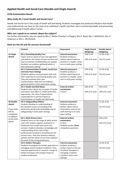#### **Applied Health and Social Care (Double and Single Award)**

#### **CCEA Examination Board**

#### **Why study AS / Level Health and Social Care?**

Health and Social Care is the study of health and well-being. Students investigate the profound influence that health care professionals can have on the state of an individual's health and their role in monitoring health, and preventing and addressing ill health when it arises.

#### **Who can I speak to or contact about the subject?**

For further information, you can speak to Mrs C. Nedza (Teacher in Charge), Mrs R. Boyd, Mrs J. McKittrick, Mrs H. Anderson or Mrs L. McClintock.

#### **How are the AS and A2 courses structured?**

|                    | Content                                                                                     | <b>Assessment</b>                      | <b>Single Award</b> | <b>Double Award</b> |
|--------------------|---------------------------------------------------------------------------------------------|----------------------------------------|---------------------|---------------------|
|                    |                                                                                             |                                        | Weighting           | Weighting           |
| <b>AS Single</b>   | <b>AS 1: Promoting Quality Care</b>                                                         | <b>Internal assessment</b>             | 25% of AS           | 12.5% of AS         |
| Award              | Topics such as values of care, key legislation                                              | Students produce a                     |                     |                     |
|                    | and policies, the impact of poor practice and                                               | written report based on                | 10% of A Level      | 5% of A Level       |
|                    | how to maintain confidentiality are studied.                                                | practice in a health, social           |                     |                     |
|                    | Students use evidence gathered whilst in                                                    | care or early years setting.           |                     |                     |
|                    | their placement setting.                                                                    |                                        |                     |                     |
|                    | AS 2: Communication in Health, Social Care                                                  | <b>Internal assessment</b>             | 25% of AS           | 12.5% of AS         |
|                    | and Early Years Settings                                                                    | Students produce a                     |                     |                     |
|                    | Students explore communication skills and                                                   | written report based on                | 10% of A Level      | 5% of A Level       |
|                    | their importance in promoting quality care.                                                 | practice in a health, social           |                     |                     |
|                    | They also evaluate their own                                                                | care or early years setting.           |                     |                     |
|                    | communication skills and use evidence                                                       |                                        |                     |                     |
|                    | gathered whilst in their placement setting.                                                 |                                        |                     |                     |
|                    | AS 3: Health and Well-Being                                                                 | <b>External written</b><br>examination | 50% of AS           | 25% of AS           |
|                    | Students learn about key concepts of health<br>and factors that affect it, health promotion | 2 hours                                | 20% of A Level      | 10% of A Level      |
|                    | approaches, the roles of organisations                                                      |                                        |                     |                     |
|                    | responsible for it and the impact of                                                        |                                        |                     |                     |
|                    | discrimination on health and well-being.                                                    |                                        |                     |                     |
| <b>AS Double</b>   | AS 4: Safeguarding Children                                                                 | <b>Internal assessment</b>             |                     | 12.5% of AS         |
| Award              | Students develop an understanding of                                                        | Students produce a                     |                     |                     |
|                    | the sensitive issues surrounding child                                                      | written report and an                  |                     | 5% of A Level       |
| <b>These Units</b> | protection, giving them knowledge and of                                                    | information resource for               |                     |                     |
| will be            | safeguarding in early years settings.                                                       | staff working in an early              |                     |                     |
| completed          |                                                                                             | years setting.                         |                     |                     |
| in addition        | <b>AS 5: Adult Service Users</b>                                                            | <b>External written</b>                |                     | 25% of AS           |
| to the Units       | Students focus on the range of adult service                                                | examination                            |                     |                     |
| above.             | users who require support, assistance or                                                    | 2 hours                                |                     | 10% of A Level      |
|                    | treatment from health and social care                                                       | Students answer three                  |                     |                     |
|                    | services. Students develop a knowledge and                                                  | compulsory questions.                  |                     |                     |
|                    | understanding of the roles of key                                                           |                                        |                     |                     |
|                    | professionals involved in providing care for                                                |                                        |                     |                     |
|                    | service users. They also examine relevant                                                   |                                        |                     |                     |
|                    | policies and the values of care that underpin                                               |                                        |                     |                     |
|                    | the work of the caring professions.                                                         |                                        |                     |                     |
|                    | <b>AS 6: Holistic Therapies</b>                                                             | <b>Internal assessment</b>             |                     | 12.5% of AS         |
|                    | Students investigate the holistic approach to                                               | Students produce a                     |                     |                     |
|                    | managing various medical conditions. They                                                   | written report in the use              |                     | 5% of A Level       |
|                    | have the opportunity to research a range of                                                 | of holistic therapies in               |                     |                     |
|                    | holistic therapies and compare these to                                                     | managing a medical                     |                     |                     |
|                    | medical treatments.                                                                         | condition and in care                  |                     |                     |
|                    |                                                                                             | settings.                              |                     |                     |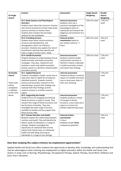|                    | Content                                       | <b>Assessment</b>              | <b>Single Award</b> | <b>Double</b> |
|--------------------|-----------------------------------------------|--------------------------------|---------------------|---------------|
| <b>A2 Single</b>   |                                               |                                | Weighting           | Award         |
| Award              |                                               |                                |                     | Weighting     |
|                    | A2 2: Body Systems and Physiological          | Internal assessment            | 15% of A Level      | 7.5% of A     |
|                    | <b>Disorders</b>                              | Students carry out a           |                     | Level         |
|                    | Students learn about the structure, function  | practical investigation of the |                     |               |
|                    | and control mechanisms of two major body      | physiological status of        |                     |               |
|                    | systems and how to monitor them.              | individuals and research the   |                     |               |
|                    | Students then monitor the two body            | diagnosis and treatment of a   |                     |               |
|                    | systems for two individuals.                  | disorder.                      |                     |               |
|                    | <b>A2 3: Providing Services</b>               | <b>External written</b>        | 30% of A Level      | 15% of A      |
|                    | Students learn about service provision,       | examination based on           |                     | Level         |
|                    | structure and development, and                | pre-release material - 2       |                     |               |
|                    | demographics which can influence              | hours                          |                     |               |
|                    | provision. Students also explore the role of  |                                |                     |               |
|                    | practitioners and how they identify and       |                                |                     |               |
|                    | meet a range of service users' needs.         |                                |                     |               |
|                    | A2 4: Health Promotion                        | <b>Internal assessment</b>     | 15% of A Level      | 7.5% of A     |
|                    | Students develop an understanding of local    | Students examine health        |                     | Level         |
|                    | health priorities and health promotion        | improvement priorities in      |                     |               |
|                    | campaigns. They plan, implement and           | Northern Ireland, undertake    |                     |               |
|                    | evaluate a small-scale health promotion       | a health promotion activity    |                     |               |
|                    | activity, based on a Northern Ireland health  | and report their findings.     |                     |               |
|                    | promotion priority.                           |                                |                     |               |
| <b>A2 Double</b>   | <b>A2 1: Applied Research</b>                 | <b>Internal assessment</b>     |                     | 7.5% of A     |
| Award              | Students investigate a health, social care or | Students produce a research    |                     | Level         |
|                    | early years topic in depth by carrying out    | report on a health and social  |                     |               |
|                    | individual research. Students conduct         | care or early years topic of   |                     |               |
| <b>These Units</b> | primary and secondary research on the         | their own choosing.            |                     |               |
| will be            | selected topic, present their findings and    |                                |                     |               |
| completed          | evaluate both their findings and the          |                                |                     |               |
| in addition        | research process in a written research        |                                |                     |               |
| to the Units       | report.                                       |                                |                     |               |
| above.             | A2 5: Supporting the Family                   | <b>Internal assessment</b>     |                     | 7.5% of A     |
|                    | Students focus on changing and evolving       | Students produce a review      |                     | Level         |
|                    | family structures in today's society. They    | of changes to family           |                     |               |
|                    | research the range of family structures and   | structure, a case study and a  |                     |               |
|                    | the functions of families. They also          | report on services for         |                     |               |
|                    | investigate the wide range of services        | families experiencing issues.  |                     |               |
|                    | available to families and the support that    |                                |                     |               |
|                    | these services offer.                         |                                |                     |               |
|                    | A2 7: Human Nutrition and Health              | <b>External written</b>        |                     | 15% of A      |
|                    | Students explore the relationship between     | examination                    |                     | Level         |
|                    | nutrition and health. They will identify the  | 2 hours                        |                     |               |
|                    | dietary needs of individuals in a range of    | Students answer three          |                     |               |
|                    | settings. Students investigate the            | compulsory questions.          |                     |               |
|                    | importance of a balanced diet and the         |                                |                     |               |
|                    | impact food choices have on individuals'      |                                |                     |               |
|                    | health and well-being, focusing on            |                                |                     |               |
|                    | individuals in a range of care settings.      |                                |                     |               |

#### **How does studying this subject enhance my employment opportunities?**

Applied Health and Social Care offers students the opportunity to develop skills, knowledge and understanding that may be advantageous when entering into employment or higher education within the Health and Social Care sectors in areas such as Nursing, Physiotherapy, Occupational Therapy, Speech Therapy, Social Work, Childcare and Early Years' Education.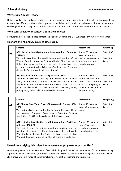#### **Why study A Level History?**

History involves the study and analysis of the past using evidence. Apart from being extremely enjoyable to explore, by offering students the opportunity to delve into the rich storehouse of human experience, studying historical change and continuity enables students to better understand contemporary societies.

#### **Who can I speak to or contact about the subject?**

For further information, please contact the Head of Department, Dr P. Johnson, or your History Teacher.

#### **How are the AS and A2 courses structured?**

|           | Content                                                                                                                                                                                                                                                                                                                                                                   | Assessment                                                                                                                               | Weighting                         |
|-----------|---------------------------------------------------------------------------------------------------------------------------------------------------------------------------------------------------------------------------------------------------------------------------------------------------------------------------------------------------------------------------|------------------------------------------------------------------------------------------------------------------------------------------|-----------------------------------|
| <b>AS</b> | AS1 Historical Investigations and Interpretations: Germany<br>1919-45<br>This unit examines the establishment and decline of the<br>Weimar Republic after the First World War. Then the rise of<br>Hitler, the consolidation of the Nazi dictatorship, Nazi<br>economic and cultural policies, anti-Semitism, and Germany<br>during the Second World War are studied.     | 1 hour 30 minutes<br>exam: One short<br>response question and<br>a two-part source<br>based question.                                    | 50% of AS<br>20% of A<br>Level    |
|           | AS2 Historical Conflict and Change: Russia 1914-41<br>This unit analyses the February and October Revolutions of<br>1917, the Bolshevik seizure and consolidation of power, and<br>Lenin's economic and socio-cultural policies. Stalin's rise to<br>power and dictatorship are also examined, considering terror,<br>propaganda, industrialisation and collectivisation. | 1 hour 30 minutes<br>exam: Two questions<br>from a choice of three.<br>Each has two parts, a<br>short response and an<br>extended essay. | 50% of AS<br>$20\%$ of A<br>Level |

|    | Content                                                                                                                                                                                                                                                                                                                                    | Assessment                                                                           | Weighting         |
|----|--------------------------------------------------------------------------------------------------------------------------------------------------------------------------------------------------------------------------------------------------------------------------------------------------------------------------------------------|--------------------------------------------------------------------------------------|-------------------|
| A2 | A21 Change Over Time: Clash of Ideologies in Europe 1900-<br>2000<br>This unit analyses the relationship between the Soviet Union<br>and Western European Governments from the October<br>Revolution of 1917 to the collapse of the Soviet Union.                                                                                          | 1 hour 15 minutes<br>exam: One synoptic<br>essay.                                    | 20% of A<br>Level |
|    | A22 Historical Investigations and Interpretations: Partition<br>of Ireland 1900-25<br>This unit focuses on unionism and nationalism, and the<br>partition of Ireland. The Home Rule crises, the First World<br>War, the Easter Rising, the Anglo-Irish Treaty, the Irish Civil<br>War and the government of Northern Ireland are explored. | 2 hours 30 minutes<br>exam: Two source<br>based questions and<br>one extended essay. | 40% of A<br>Level |

#### **How does studying this subject enhance my employment opportunities?**

History emphasises the development of critical thinking skills, as well as the ability to formulate convincing arguments, evaluate evidence, interpret sources and assess the merits of conflicting interpretations. Such skills prove vital in a range of careers including law, politics, teaching and journalism.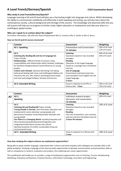## **A Level French/German/Spanish CCEA Examination Board**

#### **Why study A Level French/German/Spanish?**

Language Learning at AS and A2 level will give you a fascinating insight into language and culture. Whilst developing the ability to communicate confidently and effectively in both speaking and writing, you will also learn about the contemporary society, cultural background and heritage of the country. The knowledge and advanced skills that you will acquire will help you to progress to further study, higher education or employment and take your place in a multilingual, global society.

#### **Who can I speak to or contact about the subject?**

For further information, talk with the Head of Department Mrs D. Cromie or Mrs S. Devlin or Mrs G. Burns.

#### **How are the AS and A2 courses structured?**

|           | Content                                                        | <b>Assessment</b>                     | Weighting       |
|-----------|----------------------------------------------------------------|---------------------------------------|-----------------|
|           | AS 1: Speaking                                                 | <b>Presentation and Conversation</b>  | 30% of AS Level |
| <b>AS</b> |                                                                | 11 minutes                            | 12% of A Level  |
|           | AS 2:                                                          | Listening                             | 40% of AS Level |
|           | Listening [A], Reading [B] and Use of Language [C]             | Questions based on two recorded       | 16% of A Level  |
|           | Topics include:                                                | passages.                             |                 |
|           | Relationships - different family structures / roles,           | <b>Reading</b>                        |                 |
|           | responsibilities and relationships within families/ challenges | Questions in the target language      |                 |
|           | for families/intergenerational issue/influences on young       | based on a passage and a translation  |                 |
|           | people                                                         | exercise                              |                 |
|           | Culture and Lifestyle -physical well-being/risk-taking         | <b>Use of Language</b>                |                 |
|           | behaviour/ dealing with stress and challenges/ hobbies and     | Grammatical and lexical exercises     |                 |
|           | interests/ the arts, film, fashion and design/social media     | and translation from English into the |                 |
|           | and new technology/ holidays, festivals and tourism.           | target language.                      |                 |
|           |                                                                | 2 hours                               |                 |
|           | <b>AS 3: Extended Writing</b>                                  | Essay in response to set film or      | 30% or AS Level |
|           |                                                                | literary text I hour                  | 12% of A Level  |

|    | Content                                                 | Assessment                            | Weighting      |
|----|---------------------------------------------------------|---------------------------------------|----------------|
| A2 | A21:                                                    | Individual research project           | 18% of A Level |
|    | <b>Speaking</b>                                         | discussion and conversation           |                |
|    |                                                         | 15 minutes                            |                |
|    | $A22$ :                                                 | Listening                             | 24% of A Level |
|    | Listening [A] and Reading [B] Topics include:           | Questions based on two recorded       |                |
|    | Young People in Society -part-time jobs/ education and  | passages.                             |                |
|    | employment/ career planning / young people and          | <b>Reading</b>                        |                |
|    | democracy/European citizenship/societal attitudes and   | Two sets of questions, one summary    |                |
|    | young people                                            | exercise and one translation exercise |                |
|    | Our Place in a Changing World -equality/inequality and  | 2 hours 45 minutes                    |                |
|    | discrimination/prejudice/poverty/immigration and        |                                       |                |
|    | emigration/multicultural society and cultural           |                                       |                |
|    | identity/resolution of conflict /sustainable living and |                                       |                |
|    | environmental issues                                    |                                       |                |
|    | A2 3 : Extended Writing                                 | Essay in response to a literary text  | 18% of A Level |
|    |                                                         | 1 hour                                |                |

#### **How does studying this subject enhance my employment opportunities?**

Being able to speak another language, understand other cultures and show empathy with colleagues are valuable skills in the global workplace. Studying a language at this level provides opportunities to develop communication and presentation skills as well as competence in research, evaluation and analysis, thus widening your career opportunities.

This qualification will enable you to consider a range of employment opportunities such as Teaching, Tourism, Broadcasting, Marketing, Enterprise and Business, Financial Services, Information Technology, Journalism and Engineering.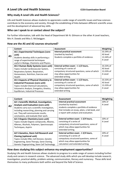#### **Why study A Level Life and Health Sciences?**

Life and Health Sciences allows students to appreciate a wide range of scientific issues and how sciences contribute to the economy and society, through the establishing of links between different scientific areas and the development of advanced key skills.

#### **Who can I speak to or contact about the subject?**

For further information, talk with the Head of Department Mr N. Gilmore or the other A Level teachers, Mrs H. Dowds and Miss S. McSwiggan.

#### **How are the AS and A2 courses structured?**

|           | Content                                    | <b>Assessment</b>                              | Weighting |
|-----------|--------------------------------------------|------------------------------------------------|-----------|
|           | AS 1 Experimental Techniques (core         | <b>Internal practical assessment</b>           | 33.34% of |
|           | unit)                                      | (marked by teacher)                            | AS level  |
| <b>AS</b> | Students develop skills in performing a    | Students complete a portfolio of evidence.     | 13.34% of |
|           | range of experimental techniques           |                                                | A Level   |
|           | useful in Biology, Chemistry and Physics.  |                                                |           |
|           | AS 2 Human Body Systems (core unit)        | External written exam $-11/2$ hours,           | 33.33% of |
|           | Topics include Cardiovascular System,      | consisting of a series of                      | AS level  |
|           | Respiratory System, Respiration,           | compulsory structured questions, some of which | 13.33% of |
|           | Homeostasis, Nutrition, Exercise and       | may allow opportunities for                    | A Level   |
|           | Health                                     | extended writing.                              |           |
|           | AS 3 Aspects of Physical Chemistry in      | External written exam $-11/2$ hours,           | 33.33% of |
|           | <b>Industrial Processes (core unit)</b>    | consisting of a series of                      | AS level  |
|           | Topics include Chemical Calculations,      | compulsory structured questions, some of which | 13.33% of |
|           | Volumetric Analysis, Energetics, Kinetics, | may allow opportunities for                    | A Level   |
|           | Equilibrium, Industrial Processes          | extended writing.                              |           |

|                | Content                                                                                                                                                                                                                                                         | Assessment                                                                                                                                                                                           | <b>Weighting</b>     |
|----------------|-----------------------------------------------------------------------------------------------------------------------------------------------------------------------------------------------------------------------------------------------------------------|------------------------------------------------------------------------------------------------------------------------------------------------------------------------------------------------------|----------------------|
| A <sub>2</sub> | A2 1 Scientific Method, Investigation,<br>Analysis and Evaluation (core unit)<br>Students carry out a scientific investigation,<br>including researching, planning and carrying<br>out. They will communicate results,<br>conclusions, and evaluate their work. | <b>Internal practical assessment</b><br>(marked by teacher)<br>students complete a portfolio of evidence<br>that includes an essay, plans, a lab book, and<br>a report with analysis and evaluation. | 20% of<br>A Level    |
|                | A2 2 Organic Chemistry (core unit)<br>Topics include Organic compounds, Alkanes,<br>Alkenes, Alcohols, Polymers, Spectroscopic<br>Techniques, Aspirin                                                                                                           | External written exam - 1 3/4 hours,<br>consisting of a series of<br>compulsory structured questions, some of<br>which may allow opportunities for<br>extended writing.                              | $20\%$ of<br>A Level |
|                | A2 5 Genetics, Stem Cell Research and<br>Cloning (optional unit)<br>Topics include DNA, Cell Division, Genetic<br>Engineering, Gene Therapy, Gene Cloning,<br>Genetic Fingerprinting, Stem Cell Technology                                                      | External written exam - 1 3/4 hours,<br>consisting of a series of<br>compulsory structured questions, some of<br>which may allow opportunities for<br>calculation and extended writing.              | 20% of<br>A Level    |

#### **How does studying this subject enhance my employment opportunities?**

Studying Life and Health Sciences allows students to progress to a wide range of careers including further study and careers in research science. The advanced study skills which you will develop include research, investigation, practical ability, problem-solving, communication, literacy and numeracy. These skills lend themselves to many professions both within and beyond the field of Science.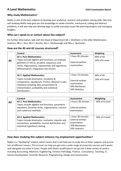### **A Level Mathematics CCEA Examination Board**

#### **Why study Mathematics?**

Maths is one of the best subjects to develop your analytical, research and problem-solving skills. Not only will studying Maths help give you the knowledge to tackle scientific, mechanical, coding and abstract problems, it will also help you develop logic to tackle everyday issues like planning projects and managing budgets.

#### **Who can I speak to or contact about the subject?**

For further information, talk with the Head of Department Mr J. McAlister or the other Mathematics teachers, Mrs L. Rice, Mrs S. Rourke, Mrs L. McKavanagh and Miss L. Buchanan.

#### **How are the AS and A2 courses structured?**

|           | Content                                                                                                                                                                                                                                | Assessment                                                                | Weighting                   |
|-----------|----------------------------------------------------------------------------------------------------------------------------------------------------------------------------------------------------------------------------------------|---------------------------------------------------------------------------|-----------------------------|
| <b>AS</b> | <b>AS 1: Pure Mathematics</b><br>Topics include algebra and functions, co-ordinate<br>geometry in the $(x, y)$ plane, sequences and<br>series, trigonometry, exponentials and logarithms,<br>differentiation, integration and vectors. | 1 hour 45 minutes<br>External written<br>examination                      | 60% of AS<br>24% of A Level |
|           | <b>AS 2: Applied Mathematics</b><br>Topics include kinematics, resultants &                                                                                                                                                            | 1 hour 15 minutes                                                         | 40% of AS                   |
|           | components, equilibrium, friction, Newton's Laws,<br>statistical sampling, data presentation &<br>interpretation, probability and statistical<br>distributions.                                                                        | <b>External written</b><br>examination<br>50% Mechanics<br>50% Statistics | 16% of A Level              |

|    | <b>Content</b>                                                                                                                                                           | Assessment                                                                                     | Weighting      |
|----|--------------------------------------------------------------------------------------------------------------------------------------------------------------------------|------------------------------------------------------------------------------------------------|----------------|
| A2 | A2 1: Pure Mathematics<br>Topics include algebra and functions, parametric                                                                                               | 2 hours 30 minutes                                                                             | 36% of A Level |
|    | equations, binomial series, trigonometry, calculus<br>and numerical methods.                                                                                             | External written<br>examination                                                                |                |
|    | <b>A2 2: Applied Mathematics</b><br>Topics include kinematics, moments, impulse and<br>momentum, probability, normal distribution and<br>statistical hypothesis testing. | 1 hour 30 minutes<br><b>External written</b><br>examination<br>50% Mechanics<br>50% Statistics | 24% of A Level |

#### **How does studying this subject enhance my employment opportunities?**

Maths is a "facilitating" subject, which means that it will help you to study lots of other subjects and pursue lots of different careers. This A-Level can help you get onto a wide range of university courses and it works well alongside any other A-Level. People with Maths qualifications can go into a wide variety of careers including Accounting, Medicine, Engineering, Forensic Pathology, Finance, Consultancy, Teaching, IT, Games Development, Scientific Research, Programming, Design and Construction.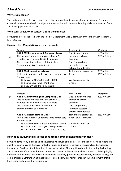#### **Why study Music?**

The study of music at A Level is much more than learning how to sing or play an instrument. Students explore how compose, develop analytical and evaluative skills in music listening whilst continuing to foster and develop performance skills.

#### **Who can I speak to or contact about the subject?**

For further information, talk with the Head of Department Miss C. Flanagan or the other A Level teacher, Mrs R. Carlisle.

#### **How are the AS and A2 courses structured?**

|    | Content                                           | <b>Assessment</b>        | Weighting      |
|----|---------------------------------------------------|--------------------------|----------------|
|    | AS1 & AS2 Performing and Composing Music          | One Solo performance     | 65% of AS      |
|    | One solo performance and viva lasting 5-7         | marked by external       | 26% of A Level |
| AS | minutes to a minimum Grade 4 standard.            | examiner                 |                |
|    | One composition lasting 1½-2 ½ minutes.           | One Composition,         |                |
|    | A commentary is also submitted.                   | internally assessed,     |                |
|    |                                                   | externally moderated     |                |
|    | AS3 & AS4 Responding to Music                     | Test of aural perception | 35% of AS      |
|    | In this unit, students undertake three compulsory | 1 hour                   | 14% of A Level |
|    | Areas of Study:                                   |                          |                |
|    | Music for Orchestra 1700 - 1900<br>1)             | Written examination      |                |
|    | Sacred Vocal Music (Anthems)<br>2)                | 2 hours                  |                |
|    | Secular Vocal Music (Musicals)<br>3)              |                          |                |

|                | Content                                           | <b>Assessment</b>        | <b>Weighting</b> |
|----------------|---------------------------------------------------|--------------------------|------------------|
| A <sub>2</sub> | A21 & A22 Performing and Composing Music          | One Solo performance     | 39% of A Level   |
|                | One solo performance and viva lasting 8-10        | marked by external       |                  |
|                | minutes to a minimum Grade 5 standard.            | examiner                 |                  |
|                | One composition lasting 2-3 minutes. A            | One Composition,         |                  |
|                | commentary is also submitted.                     | internally assessed,     |                  |
|                |                                                   | externally moderated     |                  |
|                | A23 & A24 Responding to Music                     | Test of aural perception | 21% of A Level   |
|                | In this unit, students undertake three compulsory | 1 hour and 15 minutes    |                  |
|                | Areas of Study:                                   |                          |                  |
|                | 1) Orchestral music in the Twentieth Century      | Written examination      |                  |
|                | Sacred Vocal Music (Mass/Requiem Mass)<br>2)      | 2 hours                  |                  |
|                | Secular Vocal Music (1600 – present day)<br>3)    |                          |                  |

#### **How does studying this subject enhance my employment opportunities?**

Some students study music to a high level simply because of their interest in the subject, while others use a qualification in music as the basis for further study at University. Careers in music include Composing, Performing, Teaching, Administration, Broadcasting, Music Therapy, Librarianship, Recording Technology and other areas of the music business. The varied nature of the course enables students to develop highly desirable skills in areas such as self-management, creativity, performance, teamwork, problem-solving, and communication. Strengthening these transferrable skills will certainly enhance your employment profile both inside and outside the music industry.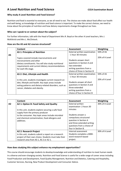### **A Level Nutrition and Food Science CCEA Examination Board**

#### **Why study A Level Nutrition and Food Science?**

Nutrition and food is essential to everyone, as we all need to eat. The choices we make about food affect our health and well-being, so knowledge of nutrition and food science is important. To make the correct choices, we need to know about the principles of nutrition and how dietary requirements change throughout our lives.

#### **Who can I speak to or contact about the subject?**

For further information, talk with the Head of Department Mrs R. Boyd or the other A Level teachers, Mrs J. McKittrick and Mrs L. McClintock.

#### **How are the AS and A2 courses structured?**

|    | Content                                                                                                                                                                                                    | Assessment                                                                                                                           | Weighting      |
|----|------------------------------------------------------------------------------------------------------------------------------------------------------------------------------------------------------------|--------------------------------------------------------------------------------------------------------------------------------------|----------------|
|    | <b>AS 1: Principles of Nutrition</b>                                                                                                                                                                       | External written examination                                                                                                         | 50% of AS      |
| AS |                                                                                                                                                                                                            | - 1 hour 30 minutes                                                                                                                  |                |
|    | Topics covered include macronutrients and<br>micronutrients and other<br>dietary constituents. You will also study nutritional<br>requirements and current dietary recommendations<br>for each life stage. | Students answer short<br>questions in Section A and<br>two extended<br>writing questions from a<br>choice of three in Section B      | 20% of A Level |
|    | AS 2: Diet, Lifestyle and Health                                                                                                                                                                           | External written examination                                                                                                         | 50% of AS      |
|    |                                                                                                                                                                                                            | - 1 hour 30 minutes                                                                                                                  |                |
|    | In this unit, students investigate current research on<br>diet, lifestyle and health. Key topic areas include<br>eating patterns and dietary-related disorders, such as<br>cancer, diabetes and obesity.   | Students answer all short<br>questions in Section A and<br>three extended<br>writing questions from a<br>choice of four in Section B | 20% of A Level |

|    | Content                                                                                 | Assessment                 | Weighting      |
|----|-----------------------------------------------------------------------------------------|----------------------------|----------------|
| A2 | A2 1: Option B: Food Safety and Quality                                                 | External written           | 30% of A Level |
|    |                                                                                         | examination - 2 hours 30   |                |
|    | In this unit, students explore securing a safe food<br>supply from the primary producer | minutes                    |                |
|    | to the consumer. Key topic areas include microbial                                      | Students answer a          |                |
|    | and chemical contamination, food allergens and                                          | compulsory structured      |                |
|    | additives.                                                                              | question in Section A      |                |
|    |                                                                                         | and three extended writing |                |
|    |                                                                                         | questions from a choice of |                |
|    |                                                                                         | four in Section B.         |                |
|    | A2 2: Research Project                                                                  | Internal assessment        | 30% of A Level |
|    | In this unit, students submit a report on a research                                    | Students complete a 4000-  |                |
|    | project of their own choice. Students must take their                                   | word research-based        |                |
|    | research area from AS 1, AS 2 or A2 1.                                                  | project.                   |                |

#### **How does studying this subject enhance my employment opportunities?**

This course should encourage students to develop knowledge and understanding of nutrition to meet human needs in a diverse and ever-changing society. Nutrition and Food Science is useful for a wide range of career areas including Food Production and Development, Food Quality Management, Nutrition and Dietetics, Catering and Hospitality, Customer Services, Nursing, New Product Development and Consumer Advice.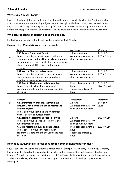#### **Why study A Level Physics?**

Physics is fundamental to our understanding of how the universe works. By choosing Physics, you choose to study an enormously stimulating subject that also sits right at the heart of technology development. Physics today is a very rewarding and exciting field with new discoveries occurring at the frontiers of human knowledge. Its methods and insights are widely applicable and its practitioners widely sought.

#### **Who can I speak to or contact about the subject?**

For further information, talk with the Head of Department Mr N. Luke.

#### **How are the AS and A2 courses structured?**

|           | Content                                             | <b>Assessment</b>         | Weighting      |
|-----------|-----------------------------------------------------|---------------------------|----------------|
|           | AS 1 Forces, Energy and Electricity                 | 1 hour 45 minutes         | 40 % of AS     |
| <b>AS</b> | Topics covered also include scalars and vectors,    | A number of compulsory    | 16% of A Level |
|           | moments, linear motion, Newton's Laws of motion,    | short answer questions    |                |
|           | linear momentum, energy, electric current, electric |                           |                |
|           | charge, potential difference, resistance and        |                           |                |
|           | resistivity.                                        |                           |                |
|           | AS 2 Waves, Photons and Astronomy                   | 1 hour 45 minutes         | 40 % of AS     |
|           | Topics covered also include refraction, lenses,     | A number of compulsory    | 16% of A Level |
|           | superposition, interference and diffraction,        | short answer questions    |                |
|           | quantum physics and astronomy.                      |                           |                |
|           | AS 3 Practical techniques and data analysis         | Practical paper lasting 1 | 20 % of AS     |
|           | Topics covered include the recording of             | hour                      | 8% of A Level  |
|           | experimental data and the analysis of the data      | Theory paper lasting 1    |                |
|           | obtained.                                           | hour                      |                |

|    | Content                                             | Assessment                | <b>Weighting</b> |
|----|-----------------------------------------------------|---------------------------|------------------|
| A2 | A2 1 Deformation of solids, Thermal Physics,        | 2 hours                   | 24 % of A        |
|    | <b>Circular Motion, Oscillations and Atomic and</b> | A number of compulsory    | Level            |
|    | <b>Nuclear Physics</b>                              | short answer questions    |                  |
|    | Topics also include simple harmonic motion,         |                           |                  |
|    | nuclear decay and nuclear energy.                   |                           |                  |
|    | A2 2 Fields, Capacitors and Particle Physics        | 2 hours                   | 24% of A Level   |
|    | Topics also include particle accelerators and       | A number of compulsory    |                  |
|    | fundamental particles.                              | short answer questions    |                  |
|    | AS 3 Practical techniques and data analysis         | Practical paper lasting 1 | 12% of A Level   |
|    | Topics covered include the recording of             | hour                      |                  |
|    | experimental data and the analysis of the data      | Theory paper lasting 1    |                  |
|    | obtained.                                           | hour                      |                  |

#### **How does studying this subject enhance my employment opportunities?**

Physics can lead to a varied and extensive career path for example in Astronomy, Cosmology, Dentistry, Engineering, Geology, Mathematics, Medicine, Meteorology, Science Research, Science Education and Finance. The skills developed through the study of Physics are highly sought after by employers including academic excellence, effective communication, good interpersonal skills and appropriate research techniques.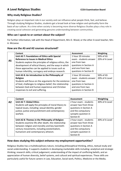#### **A Level Religious Studies CCEA Examination Board**

#### **Why study Religious Studies?**

Religion plays an important role in our society and can influence what people think, feel, and believe. Through studying Religious Studies, students get a broad look at how religion and spirituality form the basis of our culture. At a time when society is becoming more diverse Religious Studies plays a key role in creating social cohesion and generating genuine understanding between communities.

#### **Who can I speak to or contact about the subject?**

For further information, talk with the Head of Department, Mrs D. Wood, or the other A Level teacher, Mrs A. McLeese.

#### **How are the AS and A2 courses structured?**

|           | Content                                                  | Assessment             | Weighting      |
|-----------|----------------------------------------------------------|------------------------|----------------|
| <b>AS</b> | Unit AS 7: Foundations of Ethics with Special            | 1 hour 20 minutes      | 50% of AS      |
|           | <b>Reference to Issues in Medical Ethics</b>             | exam - students answer | 20% of A Level |
|           | Students explore the principles of religious ethics, the | one from two           |                |
|           | development of ethical theory, and the ways in which     | questions in Section A |                |
|           | these approaches can be applied to issues such as        | and one from two       |                |
|           | human infertility, surrogacy and embryo research.        | questions in Section B |                |
|           | Unit AS 8: An Introduction to the Philosophy of          | 1 hour 20 minutes      | 50% of AS      |
|           | Religion                                                 | exam - students answer | 20% of A Level |
|           | Students will focus on the arguments for the existence   | one from two           |                |
|           | of God, challenges to religious belief, the relationship | questions in Section A |                |
|           | between God and human experience and Christian           | and one from two       |                |
|           | responses to evil and suffering.                         | questions in Section B |                |

|    | Content                                               | Assessment             | Weighting      |
|----|-------------------------------------------------------|------------------------|----------------|
| A2 | <b>Unit A2 7: Global Ethics</b>                       | 2 hour exam - students | 30% of A Level |
|    | Students will apply the principles of moral theory to | answer two from three  |                |
|    | topical issues, including: sexual identity; gender    | questions in Section A |                |
|    | justice; justice and punishment and contemporary      | and the compulsory     |                |
|    | warfare.                                              | synoptic question in   |                |
|    |                                                       | <b>Section B</b>       |                |
|    | Unit A2 8: Themes in the Philosophy of Religion       | 2 hour exam - students | 30% of A Level |
|    | Students examine life after death, the relationship   | answer two from three  |                |
|    | between religion and morality and key twentieth-      | questions in Section A |                |
|    | century movements, including existentialism,          | and the compulsory     |                |
|    | humanism and contemporary atheism.                    | synoptic question in   |                |
|    |                                                       | <b>Section B</b>       |                |

#### **How does studying this subject enhance my employment opportunities?**

Religious Studies has a multidisciplinary nature, including philosophical thinking, ethics, textual study and social understanding. It supports students in developing marketable skills including: analytical and strategic thinking; research skills; critical judgement; understanding of the impact of conflicting beliefs; and an appreciation of human diversity, belief systems, and cultural and spiritual experiences. These skills are particularly useful for future careers in Law, Education, Social work, Politics, Medicine or the Media**.**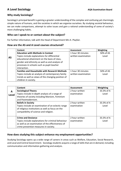## **A Level Sociology A Level Sociology A Level Sociology A Level Sociology A Level Sociology A Level Sociology**

#### **Why study Sociology?**

Sociology's principal benefit is gaining a greater understanding of the complex and confusing yet charmingly simple nature of humans, and the societies in which we organise ourselves. By studying societal behaviour, we can make comparisons, attempt to solve issues and gain a rational understanding of some of society's more challenging habits.

#### **Who can I speak to or contact about the subject?**

For further information, talk with the Head of Department Mrs K. Playfair.

#### **How are the AS and A Level courses structured?**

|    | Content                                                                                                                                                                                                        | Assessment          | Weighting |
|----|----------------------------------------------------------------------------------------------------------------------------------------------------------------------------------------------------------------|---------------------|-----------|
|    | <b>Education with Methods in Context</b>                                                                                                                                                                       | 1 hour 30 minutes   | 50% of AS |
| AS | Topics include explanations for differential<br>educational attainment on the basis of class,<br>gender and ethnicity as well as and analysis of<br>processes in schools such as pupil-teacher<br>interaction. | written examination | Level     |
|    | <b>Families and Households with Research Methods</b>                                                                                                                                                           | 1 hour 30 minutes   | 50% of AS |
|    | Topics include an analysis of contemporary family                                                                                                                                                              | written examination | Level     |
|    | trends as well as views of the changing position of                                                                                                                                                            |                     |           |
|    | children in society.                                                                                                                                                                                           |                     |           |

|              | Content                                                                                                                                           | Assessment     | Weighting  |
|--------------|---------------------------------------------------------------------------------------------------------------------------------------------------|----------------|------------|
| A            | <b>Sociological Theory</b>                                                                                                                        | 2 hour written | 33.3% of A |
| <b>Level</b> | Topics include in-depth analysis of a range of<br>theories of society including Marxism, Feminism<br>and Postmodernism.                           | examination    | Level      |
|              | <b>Beliefs in Society</b>                                                                                                                         | 2 hour written | 33.3% of A |
|              | Topics include an examination of an eclectic range<br>of religious institutions as well as focus on the<br>compatibility of science and religion. | examination    | Level      |
|              | <b>Crime and Deviance</b>                                                                                                                         | 2 hour written | 33.3% of A |
|              | Topics include explanations for criminal behaviour<br>as well as an examination of the effectiveness of<br>crime prevention measures in society.  | examination    | Level      |

#### **How does studying this subject enhance my employment opportunities?**

Studying Sociology opens up a wide range of careers in areas such as Welfare, Education, Social Research, and Local and Central Government. Sociology students acquire a range of skills that are in demand, including communication and information gathering and analysis.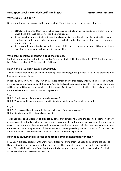#### **BTEC Sport Level 3 Extended Certificate in Sport** Pearson Examination Board

#### **Why study BTEC Sport?**

Do you want to pursue a career in the sport sector? Then this may be the ideal course for you.

- BTEC Level 3 Extended Certificate in Sport is designed to build on learning and achievement from Key Stage 3 and 4 through coursework and external exams.
- It gives you the opportunity to gain a nationally recognised vocationally specific qualification to enter employment in the sport sector or to progress to higher education qualifications such as University or apprenticeships.
- It gives you the opportunity to develop a range of skills and techniques, personal skills and attitudes essential for successful performance in working life.

#### **Who can I speak to or contact about the subject?**

For further information, talk with the Head of Department Mrs L. Hedley or the other BTEC Sport teachers, Mrs A. McLeese, Mrs S. McIvor and Miss C. Nedza.

#### **How is the BTEC Sport course structured?**

This is a vocational course designed to develop both knowledge and practical skills in the broad field of Sports, Leisure and Fitness.

In Year 13 and 14 you will study four units. These consist of two mandatory units will be assessed through external exams which are taken at the end of Year 13 and can be repeated in Year 14. The two optional units will be assessed through coursework completed in Year 14. Below is the combination of internal and external units which students at Hunterhouse College study.

Year 1

Unit 1: Physiology and Anatomy (externally assessed)

Unit 2: Training and Programming for Health, Sport and Well-being (externally assessed)

Year 2

Unit 3: Professional Development in the Sports Industry (internally assessed)

Unit 4: Sports Leadership (internally assessed)

Tasks/activities enable learners to produce evidence that directly relates to the specified criteria. A variety of assessment methods, including case studies, assignments and work-based assessments, along with projects, performance observation and time-constrained assessments will be used. Assignments have emphasis on practical application of the assessment criteria, providing a realistic scenario for learners to adopt and making maximum use of practical activities and work experience.

#### **How does studying this subject enhance my employment opportunities?**

BTEC Sport provides students with work-related learning, giving them the edge and opening the door to Higher Education or employment in the sports sector. There are clear progression routes such as BSc in Sport, Physical Education and Coaching Science. It also supports progression into roles such as Physical Activity Leader or Fitness/Leisure Assistant.